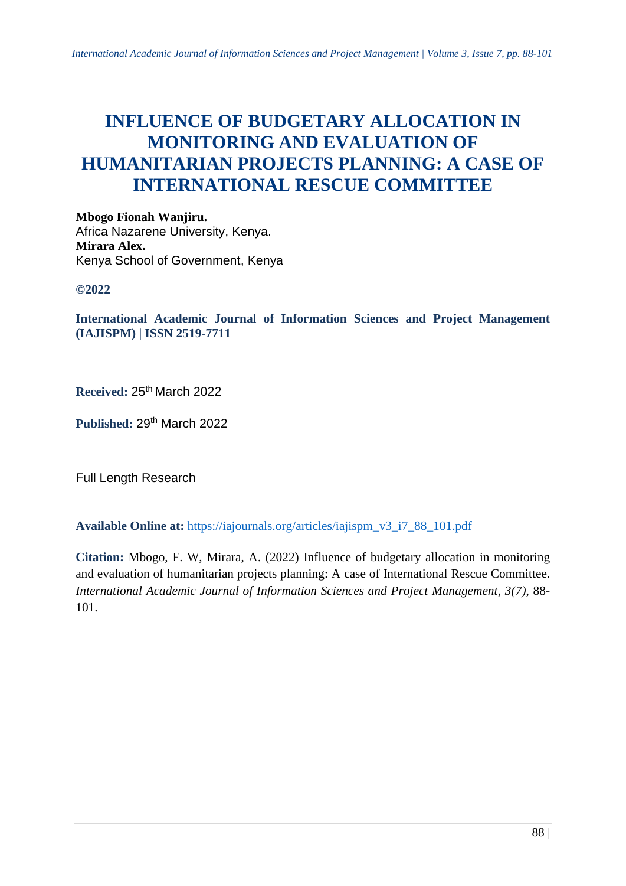# **INFLUENCE OF BUDGETARY ALLOCATION IN MONITORING AND EVALUATION OF HUMANITARIAN PROJECTS PLANNING: A CASE OF INTERNATIONAL RESCUE COMMITTEE**

**Mbogo Fionah Wanjiru.** Africa Nazarene University, Kenya. **Mirara Alex.** Kenya School of Government, Kenya

**©2022**

**International Academic Journal of Information Sciences and Project Management (IAJISPM) | ISSN 2519-7711**

**Received:** 25th March 2022

Published: 29<sup>th</sup> March 2022

Full Length Research

**Available Online at:** [https://iajournals.org/articles/iajispm\\_v3\\_i7\\_88\\_101.pdf](https://iajournals.org/articles/iajispm_v3_i7_88_101.pdf)

**Citation:** Mbogo, F. W, Mirara, A. (2022) Influence of budgetary allocation in monitoring and evaluation of humanitarian projects planning: A case of International Rescue Committee. *International Academic Journal of Information Sciences and Project Management, 3(7)*, 88- 101.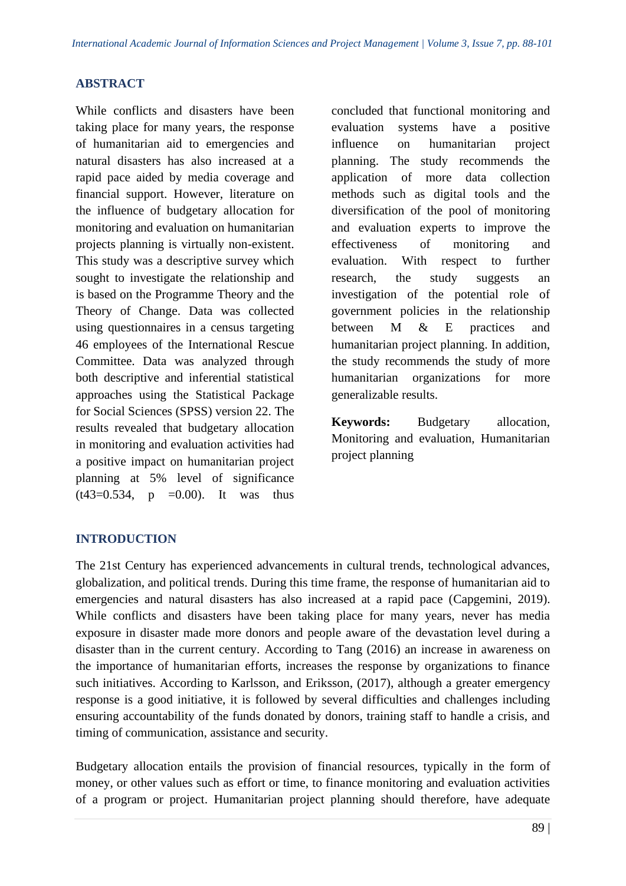#### **ABSTRACT**

While conflicts and disasters have been taking place for many years, the response of humanitarian aid to emergencies and natural disasters has also increased at a rapid pace aided by media coverage and financial support. However, literature on the influence of budgetary allocation for monitoring and evaluation on humanitarian projects planning is virtually non-existent. This study was a descriptive survey which sought to investigate the relationship and is based on the Programme Theory and the Theory of Change. Data was collected using questionnaires in a census targeting 46 employees of the International Rescue Committee. Data was analyzed through both descriptive and inferential statistical approaches using the Statistical Package for Social Sciences (SPSS) version 22. The results revealed that budgetary allocation in monitoring and evaluation activities had a positive impact on humanitarian project planning at 5% level of significance  $(t43=0.534, p = 0.00)$ . It was thus

concluded that functional monitoring and evaluation systems have a positive influence on humanitarian project planning. The study recommends the application of more data collection methods such as digital tools and the diversification of the pool of monitoring and evaluation experts to improve the effectiveness of monitoring and evaluation. With respect to further research, the study suggests an investigation of the potential role of government policies in the relationship between M & E practices and humanitarian project planning. In addition, the study recommends the study of more humanitarian organizations for more generalizable results.

**Keywords:** Budgetary allocation, Monitoring and evaluation, Humanitarian project planning

## **INTRODUCTION**

The 21st Century has experienced advancements in cultural trends, technological advances, globalization, and political trends. During this time frame, the response of humanitarian aid to emergencies and natural disasters has also increased at a rapid pace (Capgemini, 2019). While conflicts and disasters have been taking place for many years, never has media exposure in disaster made more donors and people aware of the devastation level during a disaster than in the current century. According to Tang (2016) an increase in awareness on the importance of humanitarian efforts, increases the response by organizations to finance such initiatives. According to Karlsson, and Eriksson, (2017), although a greater emergency response is a good initiative, it is followed by several difficulties and challenges including ensuring accountability of the funds donated by donors, training staff to handle a crisis, and timing of communication, assistance and security.

Budgetary allocation entails the provision of financial resources, typically in the form of money, or other values such as effort or time, to finance monitoring and evaluation activities of a program or project. Humanitarian project planning should therefore, have adequate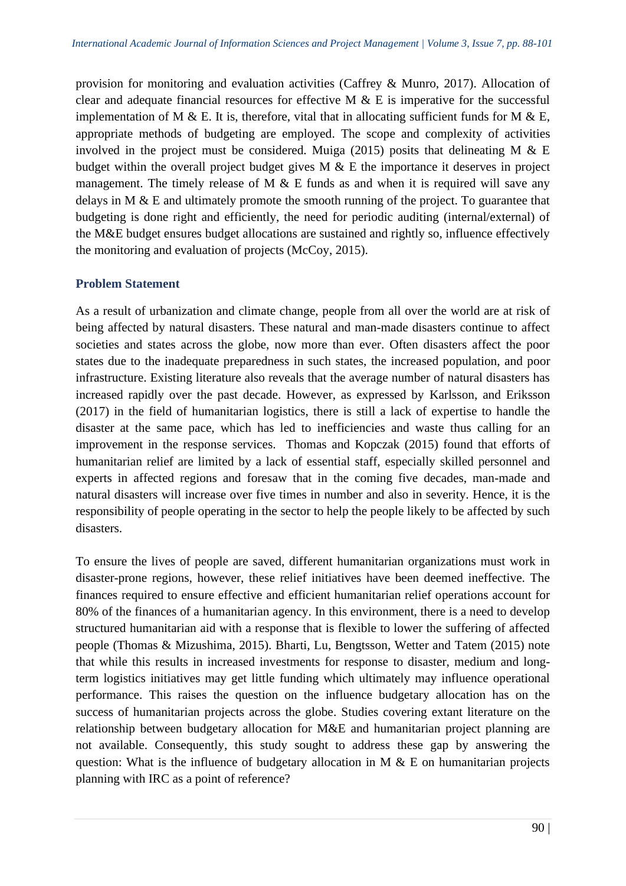provision for monitoring and evaluation activities (Caffrey & Munro, 2017). Allocation of clear and adequate financial resources for effective M  $\&$  E is imperative for the successful implementation of M & E. It is, therefore, vital that in allocating sufficient funds for M & E, appropriate methods of budgeting are employed. The scope and complexity of activities involved in the project must be considered. Muiga (2015) posits that delineating M  $& E$ budget within the overall project budget gives M & E the importance it deserves in project management. The timely release of M  $&$  E funds as and when it is required will save any delays in M & E and ultimately promote the smooth running of the project. To guarantee that budgeting is done right and efficiently, the need for periodic auditing (internal/external) of the M&E budget ensures budget allocations are sustained and rightly so, influence effectively the monitoring and evaluation of projects (McCoy, 2015).

# **Problem Statement**

As a result of urbanization and climate change, people from all over the world are at risk of being affected by natural disasters. These natural and man-made disasters continue to affect societies and states across the globe, now more than ever. Often disasters affect the poor states due to the inadequate preparedness in such states, the increased population, and poor infrastructure. Existing literature also reveals that the average number of natural disasters has increased rapidly over the past decade. However, as expressed by Karlsson, and Eriksson (2017) in the field of humanitarian logistics, there is still a lack of expertise to handle the disaster at the same pace, which has led to inefficiencies and waste thus calling for an improvement in the response services. Thomas and Kopczak (2015) found that efforts of humanitarian relief are limited by a lack of essential staff, especially skilled personnel and experts in affected regions and foresaw that in the coming five decades, man-made and natural disasters will increase over five times in number and also in severity. Hence, it is the responsibility of people operating in the sector to help the people likely to be affected by such disasters.

To ensure the lives of people are saved, different humanitarian organizations must work in disaster-prone regions, however, these relief initiatives have been deemed ineffective. The finances required to ensure effective and efficient humanitarian relief operations account for 80% of the finances of a humanitarian agency. In this environment, there is a need to develop structured humanitarian aid with a response that is flexible to lower the suffering of affected people (Thomas & Mizushima, 2015). Bharti, Lu, Bengtsson, Wetter and Tatem (2015) note that while this results in increased investments for response to disaster, medium and longterm logistics initiatives may get little funding which ultimately may influence operational performance. This raises the question on the influence budgetary allocation has on the success of humanitarian projects across the globe. Studies covering extant literature on the relationship between budgetary allocation for M&E and humanitarian project planning are not available. Consequently, this study sought to address these gap by answering the question: What is the influence of budgetary allocation in M  $\&$  E on humanitarian projects planning with IRC as a point of reference?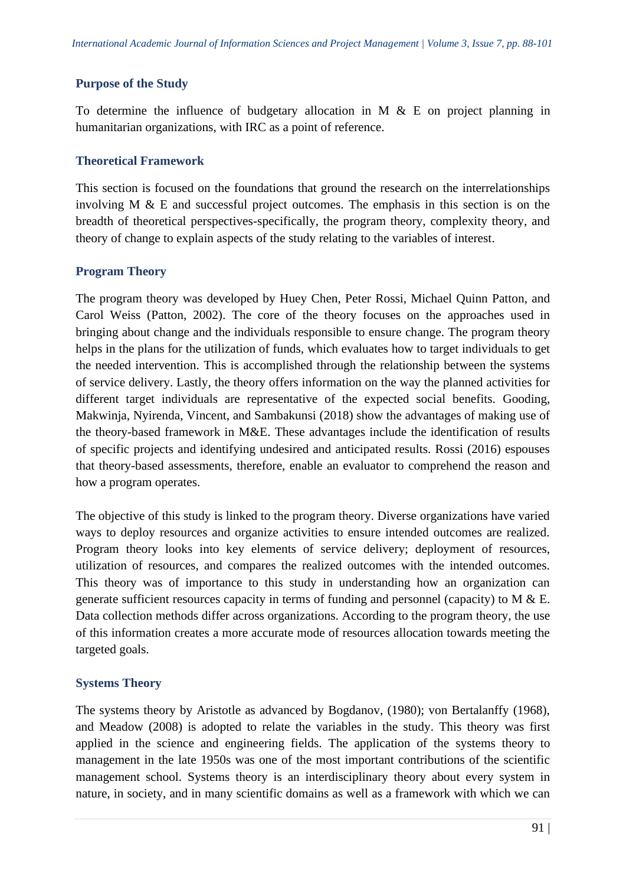#### **Purpose of the Study**

To determine the influence of budgetary allocation in M  $\&$  E on project planning in humanitarian organizations, with IRC as a point of reference.

#### **Theoretical Framework**

This section is focused on the foundations that ground the research on the interrelationships involving M & E and successful project outcomes. The emphasis in this section is on the breadth of theoretical perspectives-specifically, the program theory, complexity theory, and theory of change to explain aspects of the study relating to the variables of interest.

## **Program Theory**

The program theory was developed by Huey Chen, Peter Rossi, Michael Quinn Patton, and Carol Weiss (Patton, 2002). The core of the theory focuses on the approaches used in bringing about change and the individuals responsible to ensure change. The program theory helps in the plans for the utilization of funds, which evaluates how to target individuals to get the needed intervention. This is accomplished through the relationship between the systems of service delivery. Lastly, the theory offers information on the way the planned activities for different target individuals are representative of the expected social benefits. Gooding, Makwinja, Nyirenda, Vincent, and Sambakunsi (2018) show the advantages of making use of the theory-based framework in M&E. These advantages include the identification of results of specific projects and identifying undesired and anticipated results. Rossi (2016) espouses that theory-based assessments, therefore, enable an evaluator to comprehend the reason and how a program operates.

The objective of this study is linked to the program theory. Diverse organizations have varied ways to deploy resources and organize activities to ensure intended outcomes are realized. Program theory looks into key elements of service delivery; deployment of resources, utilization of resources, and compares the realized outcomes with the intended outcomes. This theory was of importance to this study in understanding how an organization can generate sufficient resources capacity in terms of funding and personnel (capacity) to M & E. Data collection methods differ across organizations. According to the program theory, the use of this information creates a more accurate mode of resources allocation towards meeting the targeted goals.

## **Systems Theory**

The systems theory by Aristotle as advanced by Bogdanov, (1980); von Bertalanffy (1968), and Meadow (2008) is adopted to relate the variables in the study. This theory was first applied in the science and engineering fields. The application of the systems theory to management in the late 1950s was one of the most important contributions of the scientific management school. Systems theory is an interdisciplinary theory about every system in nature, in society, and in many scientific domains as well as a framework with which we can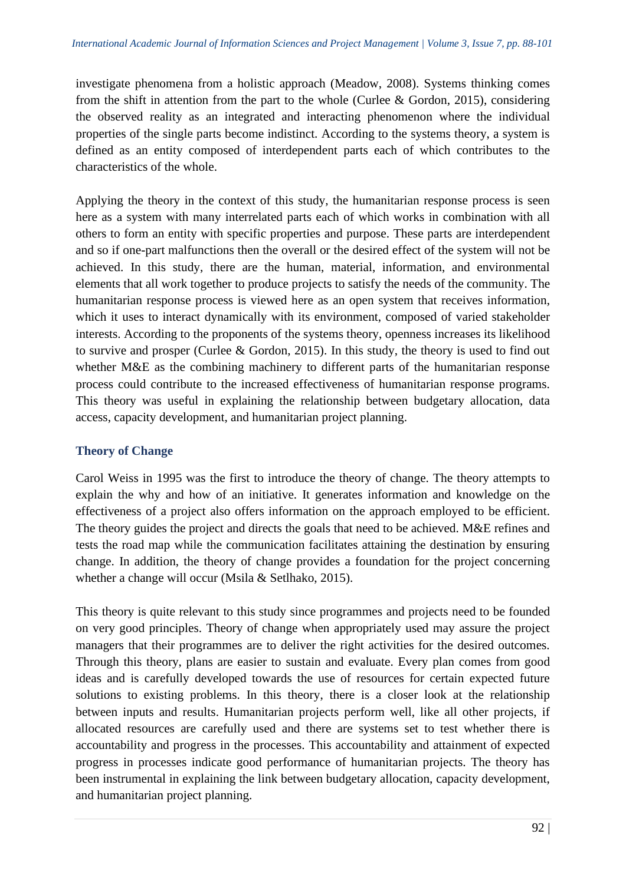investigate phenomena from a holistic approach (Meadow, 2008). Systems thinking comes from the shift in attention from the part to the whole (Curlee  $\&$  Gordon, 2015), considering the observed reality as an integrated and interacting phenomenon where the individual properties of the single parts become indistinct. According to the systems theory, a system is defined as an entity composed of interdependent parts each of which contributes to the characteristics of the whole.

Applying the theory in the context of this study, the humanitarian response process is seen here as a system with many interrelated parts each of which works in combination with all others to form an entity with specific properties and purpose. These parts are interdependent and so if one-part malfunctions then the overall or the desired effect of the system will not be achieved. In this study, there are the human, material, information, and environmental elements that all work together to produce projects to satisfy the needs of the community. The humanitarian response process is viewed here as an open system that receives information, which it uses to interact dynamically with its environment, composed of varied stakeholder interests. According to the proponents of the systems theory, openness increases its likelihood to survive and prosper (Curlee & Gordon, 2015). In this study, the theory is used to find out whether M&E as the combining machinery to different parts of the humanitarian response process could contribute to the increased effectiveness of humanitarian response programs. This theory was useful in explaining the relationship between budgetary allocation, data access, capacity development, and humanitarian project planning.

# **Theory of Change**

Carol Weiss in 1995 was the first to introduce the theory of change. The theory attempts to explain the why and how of an initiative. It generates information and knowledge on the effectiveness of a project also offers information on the approach employed to be efficient. The theory guides the project and directs the goals that need to be achieved. M&E refines and tests the road map while the communication facilitates attaining the destination by ensuring change. In addition, the theory of change provides a foundation for the project concerning whether a change will occur (Msila & Setlhako, 2015).

This theory is quite relevant to this study since programmes and projects need to be founded on very good principles. Theory of change when appropriately used may assure the project managers that their programmes are to deliver the right activities for the desired outcomes. Through this theory, plans are easier to sustain and evaluate. Every plan comes from good ideas and is carefully developed towards the use of resources for certain expected future solutions to existing problems. In this theory, there is a closer look at the relationship between inputs and results. Humanitarian projects perform well, like all other projects, if allocated resources are carefully used and there are systems set to test whether there is accountability and progress in the processes. This accountability and attainment of expected progress in processes indicate good performance of humanitarian projects. The theory has been instrumental in explaining the link between budgetary allocation, capacity development, and humanitarian project planning.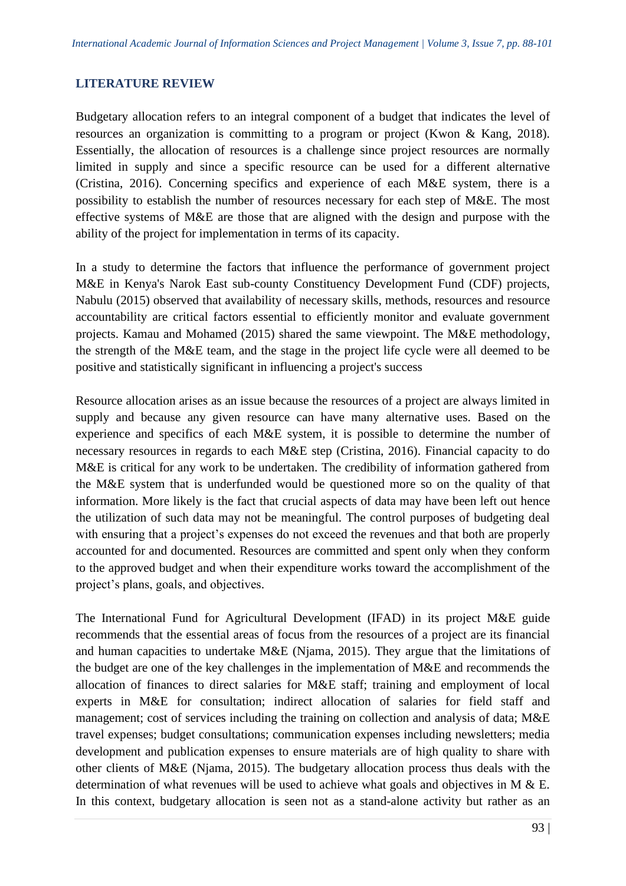#### **LITERATURE REVIEW**

Budgetary allocation refers to an integral component of a budget that indicates the level of resources an organization is committing to a program or project (Kwon & Kang, 2018). Essentially, the allocation of resources is a challenge since project resources are normally limited in supply and since a specific resource can be used for a different alternative (Cristina, 2016). Concerning specifics and experience of each M&E system, there is a possibility to establish the number of resources necessary for each step of M&E. The most effective systems of M&E are those that are aligned with the design and purpose with the ability of the project for implementation in terms of its capacity.

In a study to determine the factors that influence the performance of government project M&E in Kenya's Narok East sub-county Constituency Development Fund (CDF) projects, Nabulu (2015) observed that availability of necessary skills, methods, resources and resource accountability are critical factors essential to efficiently monitor and evaluate government projects. Kamau and Mohamed (2015) shared the same viewpoint. The M&E methodology, the strength of the M&E team, and the stage in the project life cycle were all deemed to be positive and statistically significant in influencing a project's success

Resource allocation arises as an issue because the resources of a project are always limited in supply and because any given resource can have many alternative uses. Based on the experience and specifics of each M&E system, it is possible to determine the number of necessary resources in regards to each M&E step (Cristina, 2016). Financial capacity to do M&E is critical for any work to be undertaken. The credibility of information gathered from the M&E system that is underfunded would be questioned more so on the quality of that information. More likely is the fact that crucial aspects of data may have been left out hence the utilization of such data may not be meaningful. The control purposes of budgeting deal with ensuring that a project's expenses do not exceed the revenues and that both are properly accounted for and documented. Resources are committed and spent only when they conform to the approved budget and when their expenditure works toward the accomplishment of the project's plans, goals, and objectives.

The International Fund for Agricultural Development (IFAD) in its project M&E guide recommends that the essential areas of focus from the resources of a project are its financial and human capacities to undertake M&E (Njama, 2015). They argue that the limitations of the budget are one of the key challenges in the implementation of M&E and recommends the allocation of finances to direct salaries for M&E staff; training and employment of local experts in M&E for consultation; indirect allocation of salaries for field staff and management; cost of services including the training on collection and analysis of data; M&E travel expenses; budget consultations; communication expenses including newsletters; media development and publication expenses to ensure materials are of high quality to share with other clients of M&E (Njama, 2015). The budgetary allocation process thus deals with the determination of what revenues will be used to achieve what goals and objectives in M & E. In this context, budgetary allocation is seen not as a stand-alone activity but rather as an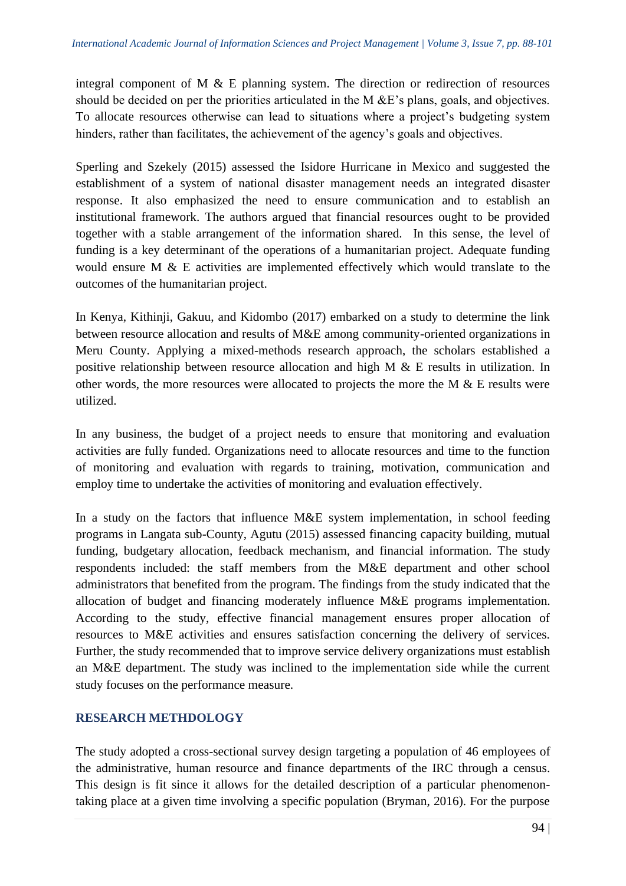integral component of M & E planning system. The direction or redirection of resources should be decided on per the priorities articulated in the M &E's plans, goals, and objectives. To allocate resources otherwise can lead to situations where a project's budgeting system hinders, rather than facilitates, the achievement of the agency's goals and objectives.

Sperling and Szekely (2015) assessed the Isidore Hurricane in Mexico and suggested the establishment of a system of national disaster management needs an integrated disaster response. It also emphasized the need to ensure communication and to establish an institutional framework. The authors argued that financial resources ought to be provided together with a stable arrangement of the information shared. In this sense, the level of funding is a key determinant of the operations of a humanitarian project. Adequate funding would ensure M & E activities are implemented effectively which would translate to the outcomes of the humanitarian project.

In Kenya, Kithinji, Gakuu, and Kidombo (2017) embarked on a study to determine the link between resource allocation and results of M&E among community-oriented organizations in Meru County. Applying a mixed-methods research approach, the scholars established a positive relationship between resource allocation and high M & E results in utilization. In other words, the more resources were allocated to projects the more the M & E results were utilized.

In any business, the budget of a project needs to ensure that monitoring and evaluation activities are fully funded. Organizations need to allocate resources and time to the function of monitoring and evaluation with regards to training, motivation, communication and employ time to undertake the activities of monitoring and evaluation effectively.

In a study on the factors that influence M&E system implementation, in school feeding programs in Langata sub-County, Agutu (2015) assessed financing capacity building, mutual funding, budgetary allocation, feedback mechanism, and financial information. The study respondents included: the staff members from the M&E department and other school administrators that benefited from the program. The findings from the study indicated that the allocation of budget and financing moderately influence M&E programs implementation. According to the study, effective financial management ensures proper allocation of resources to M&E activities and ensures satisfaction concerning the delivery of services. Further, the study recommended that to improve service delivery organizations must establish an M&E department. The study was inclined to the implementation side while the current study focuses on the performance measure.

# **RESEARCH METHDOLOGY**

The study adopted a cross-sectional survey design targeting a population of 46 employees of the administrative, human resource and finance departments of the IRC through a census. This design is fit since it allows for the detailed description of a particular phenomenontaking place at a given time involving a specific population (Bryman, 2016). For the purpose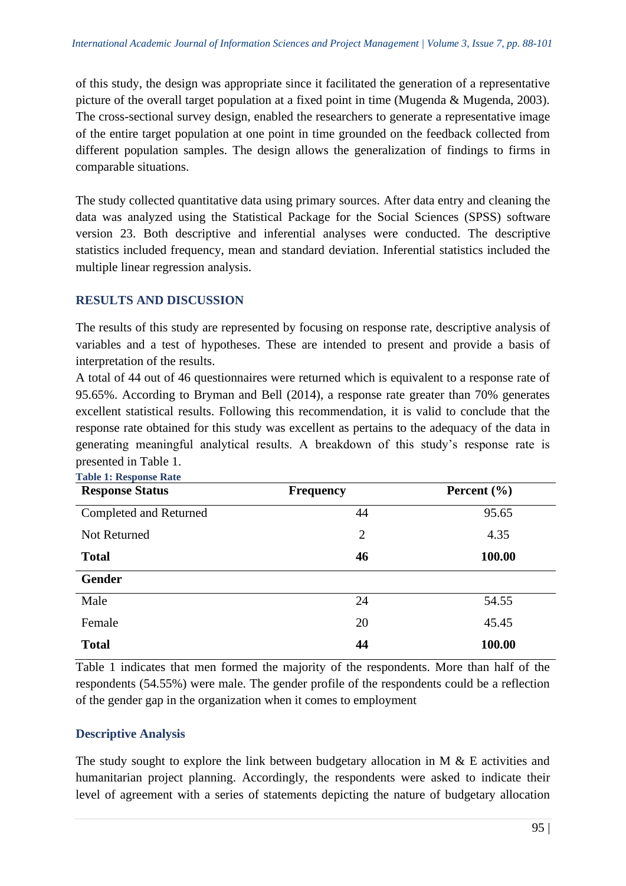of this study, the design was appropriate since it facilitated the generation of a representative picture of the overall target population at a fixed point in time (Mugenda & Mugenda, 2003). The cross-sectional survey design, enabled the researchers to generate a representative image of the entire target population at one point in time grounded on the feedback collected from different population samples. The design allows the generalization of findings to firms in comparable situations.

The study collected quantitative data using primary sources. After data entry and cleaning the data was analyzed using the Statistical Package for the Social Sciences (SPSS) software version 23. Both descriptive and inferential analyses were conducted. The descriptive statistics included frequency, mean and standard deviation. Inferential statistics included the multiple linear regression analysis.

# **RESULTS AND DISCUSSION**

The results of this study are represented by focusing on response rate, descriptive analysis of variables and a test of hypotheses. These are intended to present and provide a basis of interpretation of the results.

A total of 44 out of 46 questionnaires were returned which is equivalent to a response rate of 95.65%. According to Bryman and Bell (2014), a response rate greater than 70% generates excellent statistical results. Following this recommendation, it is valid to conclude that the response rate obtained for this study was excellent as pertains to the adequacy of the data in generating meaningful analytical results. A breakdown of this study's response rate is presented in Table 1.

| <b>Table 1: Response Rate</b> |                  |                 |  |
|-------------------------------|------------------|-----------------|--|
| <b>Response Status</b>        | <b>Frequency</b> | Percent $(\% )$ |  |
| Completed and Returned        | 44               | 95.65           |  |
| Not Returned                  | $\overline{2}$   | 4.35            |  |
| <b>Total</b>                  | 46               | 100.00          |  |
| <b>Gender</b>                 |                  |                 |  |
| Male                          | 24               | 54.55           |  |
| Female                        | 20               | 45.45           |  |
| <b>Total</b>                  | 44               | 100.00          |  |

Table 1 indicates that men formed the majority of the respondents. More than half of the respondents (54.55%) were male. The gender profile of the respondents could be a reflection of the gender gap in the organization when it comes to employment

# **Descriptive Analysis**

The study sought to explore the link between budgetary allocation in M & E activities and humanitarian project planning. Accordingly, the respondents were asked to indicate their level of agreement with a series of statements depicting the nature of budgetary allocation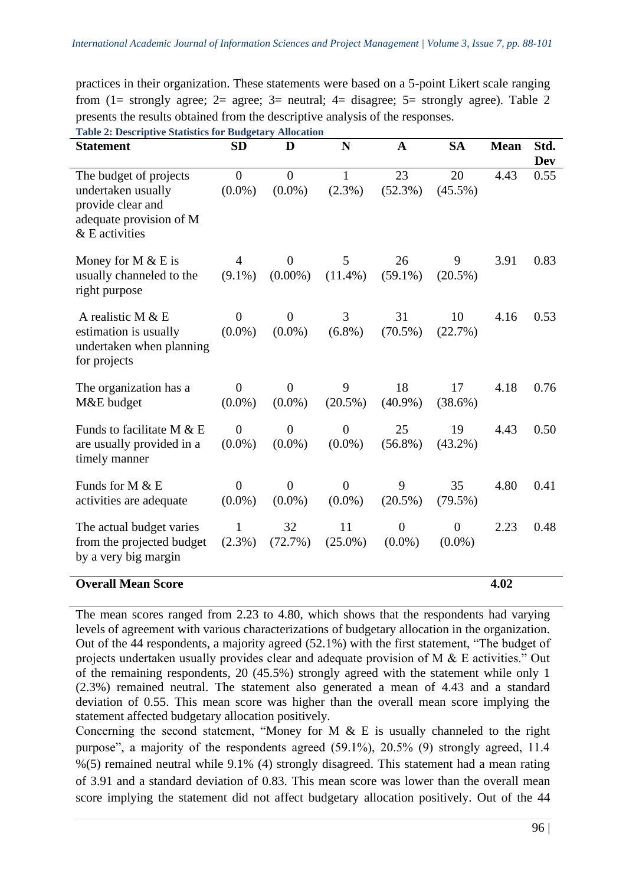practices in their organization. These statements were based on a 5-point Likert scale ranging from (1= strongly agree; 2= agree; 3= neutral; 4= disagree; 5= strongly agree). Table 2 presents the results obtained from the descriptive analysis of the responses.

| <b>Statement</b>                                                                                                 | <b>SD</b>                   | D                             | N                           | $\mathbf A$                   | <b>SA</b>                   | <b>Mean</b> | Std.        |
|------------------------------------------------------------------------------------------------------------------|-----------------------------|-------------------------------|-----------------------------|-------------------------------|-----------------------------|-------------|-------------|
| The budget of projects<br>undertaken usually<br>provide clear and<br>adequate provision of M<br>$&$ E activities | $\overline{0}$<br>$(0.0\%)$ | $\overline{0}$<br>$(0.0\%)$   | $\mathbf{1}$<br>$(2.3\%)$   | 23<br>$(52.3\%)$              | 20<br>$(45.5\%)$            | 4.43        | Dev<br>0.55 |
| Money for $M & E$ is<br>usually channeled to the<br>right purpose                                                | 4<br>$(9.1\%)$              | $\theta$<br>$(0.00\%)$        | 5<br>$(11.4\%)$             | 26<br>$(59.1\%)$              | 9<br>$(20.5\%)$             | 3.91        | 0.83        |
| A realistic M $&E$<br>estimation is usually<br>undertaken when planning<br>for projects                          | $\overline{0}$<br>$(0.0\%)$ | $\overline{0}$<br>$(0.0\%)$   | 3<br>$(6.8\%)$              | 31<br>$(70.5\%)$              | 10<br>(22.7%)               | 4.16        | 0.53        |
| The organization has a<br>M&E budget                                                                             | $\theta$<br>$(0.0\%)$       | $\boldsymbol{0}$<br>$(0.0\%)$ | 9<br>$(20.5\%)$             | 18<br>$(40.9\%)$              | 17<br>$(38.6\%)$            | 4.18        | 0.76        |
| Funds to facilitate M $& E$<br>are usually provided in a<br>timely manner                                        | $\overline{0}$<br>$(0.0\%)$ | $\overline{0}$<br>$(0.0\%)$   | $\overline{0}$<br>$(0.0\%)$ | 25<br>$(56.8\%)$              | 19<br>$(43.2\%)$            | 4.43        | 0.50        |
| Funds for M & E<br>activities are adequate                                                                       | $\overline{0}$<br>$(0.0\%)$ | $\overline{0}$<br>$(0.0\%)$   | $\theta$<br>$(0.0\%)$       | 9<br>(20.5%)                  | 35<br>$(79.5\%)$            | 4.80        | 0.41        |
| The actual budget varies<br>from the projected budget<br>by a very big margin                                    | $\mathbf{1}$<br>(2.3%)      | 32<br>(72.7%)                 | 11<br>$(25.0\%)$            | $\boldsymbol{0}$<br>$(0.0\%)$ | $\overline{0}$<br>$(0.0\%)$ | 2.23        | 0.48        |
| <b>Overall Mean Score</b>                                                                                        |                             |                               |                             |                               |                             | 4.02        |             |

**Table 2: Descriptive Statistics for Budgetary Allocation**

The mean scores ranged from 2.23 to 4.80, which shows that the respondents had varying levels of agreement with various characterizations of budgetary allocation in the organization. Out of the 44 respondents, a majority agreed (52.1%) with the first statement, "The budget of projects undertaken usually provides clear and adequate provision of M & E activities." Out of the remaining respondents, 20 (45.5%) strongly agreed with the statement while only 1 (2.3%) remained neutral. The statement also generated a mean of 4.43 and a standard deviation of 0.55. This mean score was higher than the overall mean score implying the statement affected budgetary allocation positively.

Concerning the second statement, "Money for M  $\&$  E is usually channeled to the right purpose", a majority of the respondents agreed (59.1%), 20.5% (9) strongly agreed, 11.4 %(5) remained neutral while 9.1% (4) strongly disagreed. This statement had a mean rating of 3.91 and a standard deviation of 0.83. This mean score was lower than the overall mean score implying the statement did not affect budgetary allocation positively. Out of the 44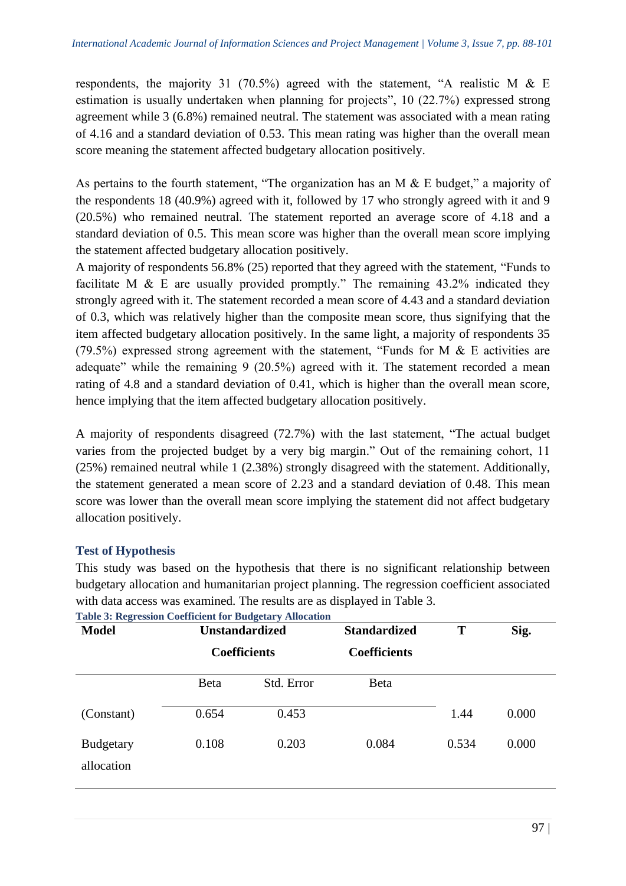respondents, the majority 31 (70.5%) agreed with the statement, "A realistic M & E estimation is usually undertaken when planning for projects", 10 (22.7%) expressed strong agreement while 3 (6.8%) remained neutral. The statement was associated with a mean rating of 4.16 and a standard deviation of 0.53. This mean rating was higher than the overall mean score meaning the statement affected budgetary allocation positively.

As pertains to the fourth statement, "The organization has an M & E budget," a majority of the respondents 18 (40.9%) agreed with it, followed by 17 who strongly agreed with it and 9 (20.5%) who remained neutral. The statement reported an average score of 4.18 and a standard deviation of 0.5. This mean score was higher than the overall mean score implying the statement affected budgetary allocation positively.

A majority of respondents 56.8% (25) reported that they agreed with the statement, "Funds to facilitate M & E are usually provided promptly." The remaining 43.2% indicated they strongly agreed with it. The statement recorded a mean score of 4.43 and a standard deviation of 0.3, which was relatively higher than the composite mean score, thus signifying that the item affected budgetary allocation positively. In the same light, a majority of respondents 35 (79.5%) expressed strong agreement with the statement, "Funds for M & E activities are adequate" while the remaining 9 (20.5%) agreed with it. The statement recorded a mean rating of 4.8 and a standard deviation of 0.41, which is higher than the overall mean score, hence implying that the item affected budgetary allocation positively.

A majority of respondents disagreed (72.7%) with the last statement, "The actual budget varies from the projected budget by a very big margin." Out of the remaining cohort, 11 (25%) remained neutral while 1 (2.38%) strongly disagreed with the statement. Additionally, the statement generated a mean score of 2.23 and a standard deviation of 0.48. This mean score was lower than the overall mean score implying the statement did not affect budgetary allocation positively.

# **Test of Hypothesis**

This study was based on the hypothesis that there is no significant relationship between budgetary allocation and humanitarian project planning. The regression coefficient associated with data access was examined. The results are as displayed in Table 3.

| <b>Model</b>                   | $=$ $\frac{1}{2}$ $\frac{1}{2}$ $\frac{1}{2}$ $\frac{1}{2}$ $\frac{1}{2}$ $\frac{1}{2}$ $\frac{1}{2}$ $\frac{1}{2}$<br><b>Unstandardized</b> |            | <b>Standardized</b> | T     | Sig.  |
|--------------------------------|----------------------------------------------------------------------------------------------------------------------------------------------|------------|---------------------|-------|-------|
|                                | <b>Coefficients</b>                                                                                                                          |            | <b>Coefficients</b> |       |       |
|                                | <b>Beta</b>                                                                                                                                  | Std. Error | <b>B</b> eta        |       |       |
| (Constant)                     | 0.654                                                                                                                                        | 0.453      |                     | 1.44  | 0.000 |
| <b>Budgetary</b><br>allocation | 0.108                                                                                                                                        | 0.203      | 0.084               | 0.534 | 0.000 |

**Table 3: Regression Coefficient for Budgetary Allocation**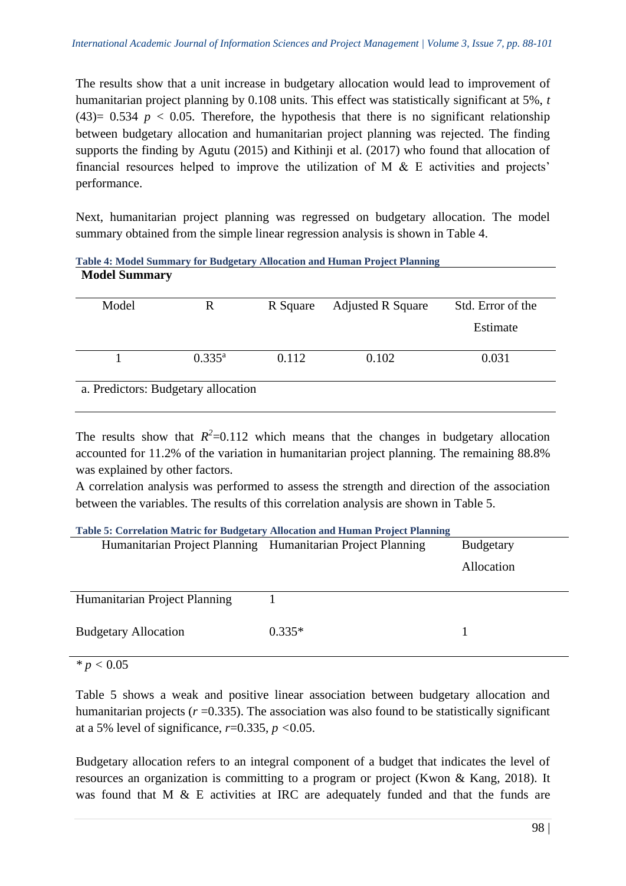The results show that a unit increase in budgetary allocation would lead to improvement of humanitarian project planning by 0.108 units. This effect was statistically significant at 5%, *t* (43)=  $0.534$   $p < 0.05$ . Therefore, the hypothesis that there is no significant relationship between budgetary allocation and humanitarian project planning was rejected. The finding supports the finding by Agutu (2015) and Kithinji et al. (2017) who found that allocation of financial resources helped to improve the utilization of M & E activities and projects' performance.

Next, humanitarian project planning was regressed on budgetary allocation. The model summary obtained from the simple linear regression analysis is shown in Table 4.

| <b>Model Summary</b> |                                     |          | Table 4: Model Summary for Budgetary Allocation and Human Project Planning |                   |
|----------------------|-------------------------------------|----------|----------------------------------------------------------------------------|-------------------|
|                      |                                     |          |                                                                            |                   |
| Model                | R                                   | R Square | <b>Adjusted R Square</b>                                                   | Std. Error of the |
|                      |                                     |          |                                                                            | Estimate          |
|                      | $0.335^{\rm a}$                     | 0.112    | 0.102                                                                      | 0.031             |
|                      | a. Predictors: Budgetary allocation |          |                                                                            |                   |

The results show that  $R^2$ =0.112 which means that the changes in budgetary allocation accounted for 11.2% of the variation in humanitarian project planning. The remaining 88.8% was explained by other factors.

A correlation analysis was performed to assess the strength and direction of the association between the variables. The results of this correlation analysis are shown in Table 5.

| <b>Table 5: Correlation Matric for Budgetary Allocation and Human Project Planning</b> |          |                  |  |  |
|----------------------------------------------------------------------------------------|----------|------------------|--|--|
| Humanitarian Project Planning Humanitarian Project Planning                            |          | <b>Budgetary</b> |  |  |
|                                                                                        |          | Allocation       |  |  |
|                                                                                        |          |                  |  |  |
| Humanitarian Project Planning                                                          |          |                  |  |  |
|                                                                                        |          |                  |  |  |
| <b>Budgetary Allocation</b>                                                            | $0.335*$ |                  |  |  |
|                                                                                        |          |                  |  |  |
| $\star - \cdot 0.05$                                                                   |          |                  |  |  |

*\* p <* 0.05

Table 5 shows a weak and positive linear association between budgetary allocation and humanitarian projects  $(r=0.335)$ . The association was also found to be statistically significant at a 5% level of significance, *r*=0.335, *p <*0.05.

Budgetary allocation refers to an integral component of a budget that indicates the level of resources an organization is committing to a program or project (Kwon & Kang, 2018). It was found that M & E activities at IRC are adequately funded and that the funds are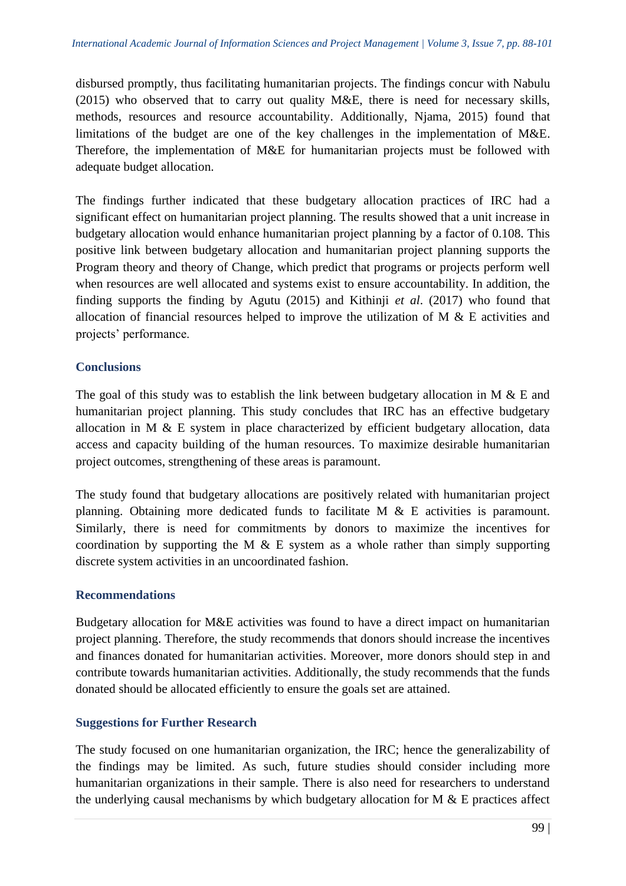disbursed promptly, thus facilitating humanitarian projects. The findings concur with Nabulu (2015) who observed that to carry out quality M&E, there is need for necessary skills, methods, resources and resource accountability. Additionally, Njama, 2015) found that limitations of the budget are one of the key challenges in the implementation of M&E. Therefore, the implementation of M&E for humanitarian projects must be followed with adequate budget allocation.

The findings further indicated that these budgetary allocation practices of IRC had a significant effect on humanitarian project planning. The results showed that a unit increase in budgetary allocation would enhance humanitarian project planning by a factor of 0.108. This positive link between budgetary allocation and humanitarian project planning supports the Program theory and theory of Change, which predict that programs or projects perform well when resources are well allocated and systems exist to ensure accountability. In addition, the finding supports the finding by Agutu (2015) and Kithinji *et al*. (2017) who found that allocation of financial resources helped to improve the utilization of M & E activities and projects' performance.

# **Conclusions**

The goal of this study was to establish the link between budgetary allocation in M  $\&$  E and humanitarian project planning. This study concludes that IRC has an effective budgetary allocation in M & E system in place characterized by efficient budgetary allocation, data access and capacity building of the human resources. To maximize desirable humanitarian project outcomes, strengthening of these areas is paramount.

The study found that budgetary allocations are positively related with humanitarian project planning. Obtaining more dedicated funds to facilitate M & E activities is paramount. Similarly, there is need for commitments by donors to maximize the incentives for coordination by supporting the M  $\&$  E system as a whole rather than simply supporting discrete system activities in an uncoordinated fashion.

## **Recommendations**

Budgetary allocation for M&E activities was found to have a direct impact on humanitarian project planning. Therefore, the study recommends that donors should increase the incentives and finances donated for humanitarian activities. Moreover, more donors should step in and contribute towards humanitarian activities. Additionally, the study recommends that the funds donated should be allocated efficiently to ensure the goals set are attained.

## **Suggestions for Further Research**

The study focused on one humanitarian organization, the IRC; hence the generalizability of the findings may be limited. As such, future studies should consider including more humanitarian organizations in their sample. There is also need for researchers to understand the underlying causal mechanisms by which budgetary allocation for  $M \& E$  practices affect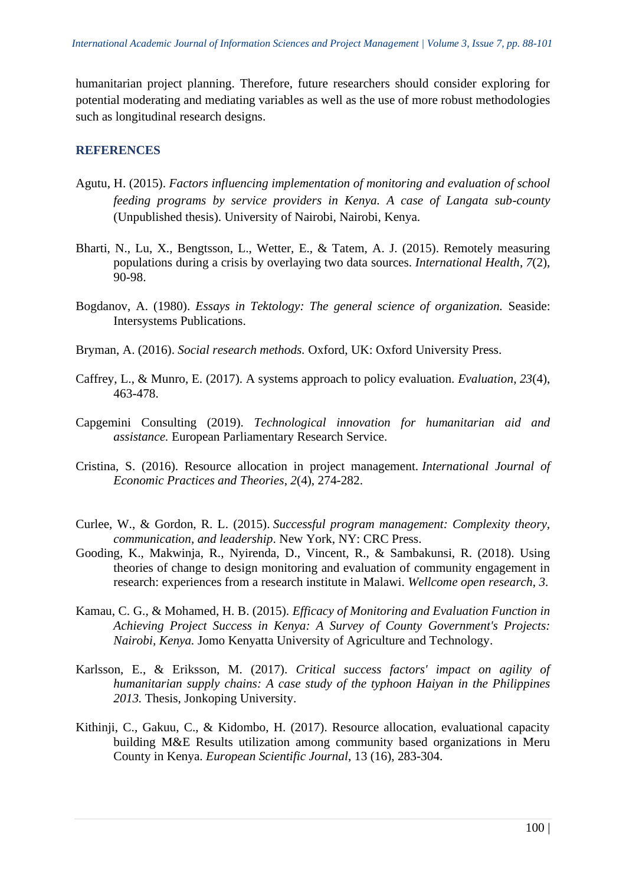humanitarian project planning. Therefore, future researchers should consider exploring for potential moderating and mediating variables as well as the use of more robust methodologies such as longitudinal research designs.

### **REFERENCES**

- Agutu, H. (2015). *Factors influencing implementation of monitoring and evaluation of school feeding programs by service providers in Kenya. A case of Langata sub-county* (Unpublished thesis). University of Nairobi, Nairobi, Kenya.
- Bharti, N., Lu, X., Bengtsson, L., Wetter, E., & Tatem, A. J. (2015). Remotely measuring populations during a crisis by overlaying two data sources. *International Health*, *7*(2), 90-98.
- Bogdanov, A. (1980). *Essays in Tektology: The general science of organization.* Seaside: Intersystems Publications.
- Bryman, A. (2016). *Social research methods.* Oxford, UK: Oxford University Press.
- Caffrey, L., & Munro, E. (2017). A systems approach to policy evaluation. *Evaluation*, *23*(4), 463-478.
- Capgemini Consulting (2019). *Technological innovation for humanitarian aid and assistance.* European Parliamentary Research Service.
- Cristina, S. (2016). Resource allocation in project management. *International Journal of Economic Practices and Theories*, *2*(4), 274-282.
- Curlee, W., & Gordon, R. L. (2015). *Successful program management: Complexity theory, communication, and leadership*. New York, NY: CRC Press.
- Gooding, K., Makwinja, R., Nyirenda, D., Vincent, R., & Sambakunsi, R. (2018). Using theories of change to design monitoring and evaluation of community engagement in research: experiences from a research institute in Malawi. *Wellcome open research*, *3*.
- Kamau, C. G., & Mohamed, H. B. (2015). *Efficacy of Monitoring and Evaluation Function in Achieving Project Success in Kenya: A Survey of County Government's Projects: Nairobi, Kenya.* Jomo Kenyatta University of Agriculture and Technology.
- Karlsson, E., & Eriksson, M. (2017). *Critical success factors' impact on agility of humanitarian supply chains: A case study of the typhoon Haiyan in the Philippines 2013.* Thesis, Jonkoping University.
- Kithinji, C., Gakuu, C., & Kidombo, H. (2017). Resource allocation, evaluational capacity building M&E Results utilization among community based organizations in Meru County in Kenya. *European Scientific Journal*, 13 (16), 283-304.